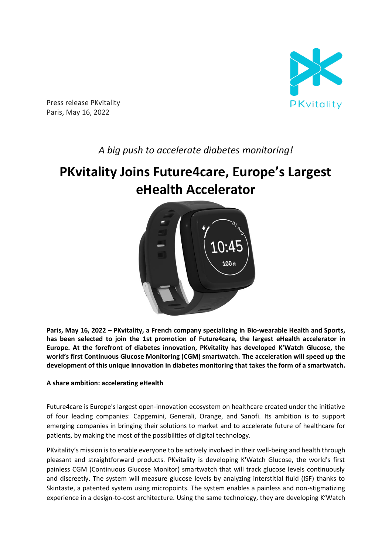

Press release PKvitality Paris, May 16, 2022

# *A big push to accelerate diabetes monitoring!*

# **PKvitality Joins Future4care, Europe's Largest eHealth Accelerator**



**Paris, May 16, 2022 – PKvitality, a French company specializing in Bio-wearable Health and Sports, has been selected to join the 1st promotion of Future4care, the largest eHealth accelerator in Europe. At the forefront of diabetes innovation, PKvitality has developed K'Watch Glucose, the world's first Continuous Glucose Monitoring (CGM) smartwatch. The acceleration will speed up the development of this unique innovation in diabetes monitoring that takes the form of a smartwatch.**

# **A share ambition: accelerating eHealth**

Future4care is Europe's largest open-innovation ecosystem on healthcare created under the initiative of four leading companies: Capgemini, Generali, Orange, and Sanofi. Its ambition is to support emerging companies in bringing their solutions to market and to accelerate future of healthcare for patients, by making the most of the possibilities of digital technology.

PKvitality's mission is to enable everyone to be actively involved in their well-being and health through pleasant and straightforward products. PKvitality is developing K'Watch Glucose, the world's first painless CGM (Continuous Glucose Monitor) smartwatch that will track glucose levels continuously and discreetly. The system will measure glucose levels by analyzing interstitial fluid (ISF) thanks to Skintaste, a patented system using micropoints. The system enables a painless and non-stigmatizing experience in a design-to-cost architecture. Using the same technology, they are developing K'Watch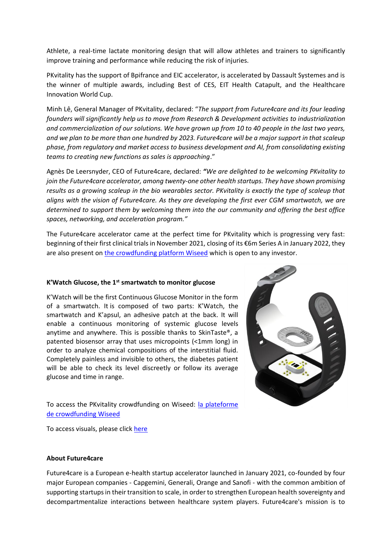Athlete, a real-time lactate monitoring design that will allow athletes and trainers to significantly improve training and performance while reducing the risk of injuries.

PKvitality has the support of Bpifrance and EIC accelerator, is accelerated by Dassault Systemes and is the winner of multiple awards, including Best of CES, EIT Health Catapult, and the Healthcare Innovation World Cup.

Minh Lê, General Manager of PKvitality, declared: "*The support from Future4care and its four leading founders will significantly help us to move from Research & Development activities to industrialization and commercialization of our solutions. We have grown up from 10 to 40 people in the last two years, and we plan to be more than one hundred by 2023. Future4care will be a major support in that scaleup phase, from regulatory and market access to business development and AI, from consolidating existing teams to creating new functions as sales is approaching*."

Agnès De Leersnyder, CEO of Future4care, declared: *"We are delighted to be welcoming PKvitality to join the Future4care accelerator, among twenty-one other health startups. They have shown promising results as a growing scaleup in the bio wearables sector. PKvitality is exactly the type of scaleup that aligns with the vision of Future4care. As they are developing the first ever CGM smartwatch, we are determined to support them by welcoming them into the our community and offering the best office spaces, networking, and acceleration program."*

The Future4care accelerator came at the perfect time for PKvitality which is progressing very fast: beginning of their first clinical trials in November 2021, closing of its €6m Series A in January 2022, they are also present on [the crowdfunding platform Wiseed](https://www.wiseed.com/projet/49791119) which is open to any investor.

# **K'Watch Glucose, the 1st smartwatch to monitor glucose**

K'Watch will be the first Continuous Glucose Monitor in the form of a smartwatch. It is composed of two parts: K'Watch, the smartwatch and K'apsul, an adhesive patch at the back. It will enable a continuous monitoring of systemic glucose levels anytime and anywhere. This is possible thanks to SkinTaste®, a patented biosensor array that uses micropoints (<1mm long) in order to analyze chemical compositions of the interstitial fluid. Completely painless and invisible to others, the diabetes patient will be able to check its level discreetly or follow its average glucose and time in range.



To access the PKvitality crowdfunding on Wiseed: [la plateforme](https://www.wiseed.com/projet/49791119)  [de crowdfunding Wiseed](https://www.wiseed.com/projet/49791119)

To access visuals, please click [here](https://www.dropbox.com/sh/g2l4g17ov3hnejq/AAATkrqnDzrD3UYcupMrXzHoa?dl=0)

#### **About Future4care**

Future4care is a European e-health startup accelerator launched in January 2021, co-founded by four major European companies - Capgemini, Generali, Orange and Sanofi - with the common ambition of supporting startups in their transition to scale, in order to strengthen European health sovereignty and decompartmentalize interactions between healthcare system players. Future4care's mission is to